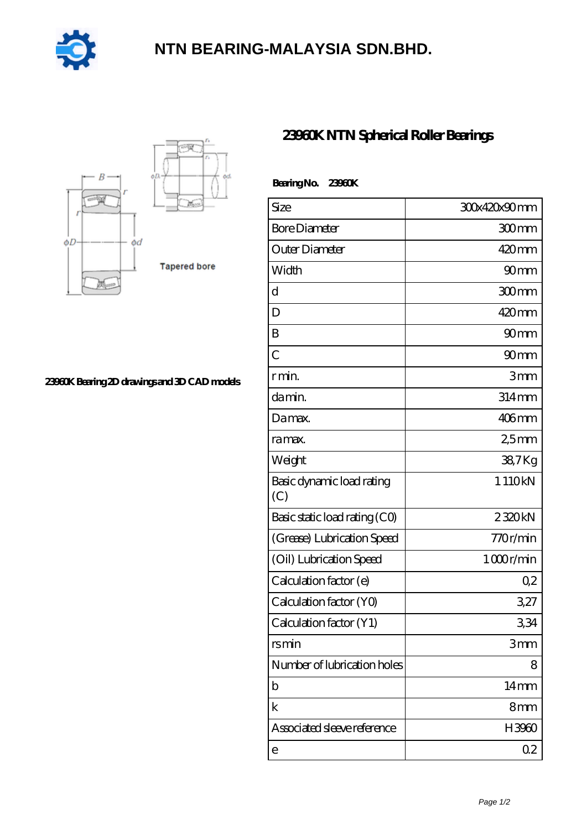

## **[NTN BEARING-MALAYSIA SDN.BHD.](https://bblc.tv)**



**[23960K Bearing 2D drawings and 3D CAD models](https://bblc.tv/pic-1088776.html)**

## **[23960K NTN Spherical Roller Bearings](https://bblc.tv/spherical-roller-bearings/23960k.html)**

| Bearing No. 23960K               |                  |
|----------------------------------|------------------|
| Size                             | 30x420x90mm      |
| <b>Bore Diameter</b>             | 300mm            |
| Outer Diameter                   | $420$ mm         |
| Width                            | 90 <sub>mm</sub> |
| d                                | 300mm            |
| D                                | $420$ mm         |
| B                                | 90 <sub>mm</sub> |
| $\overline{C}$                   | 90 <sub>mm</sub> |
| r min.                           | 3mm              |
| da min.                          | $314$ mm         |
| Damax.                           | $406$ mm         |
| ra max.                          | 25mm             |
| Weight                           | 38,7Kg           |
| Basic dynamic load rating<br>(C) | 1110kN           |
| Basic static load rating (CO)    | 2320kN           |
| (Grease) Lubrication Speed       | 770r/min         |
| (Oil) Lubrication Speed          | 1000r/min        |
| Calculation factor (e)           | Q2               |
| Calculation factor (YO)          | 327              |
| Calculation factor (Y1)          | 334              |
| rsmin                            | 3mm              |
| Number of lubrication holes      | 8                |
| b                                | 14 <sub>mm</sub> |
| k                                | 8mm              |
| Associated sleeve reference      | H3960            |
| e                                | 0 <sub>2</sub>   |